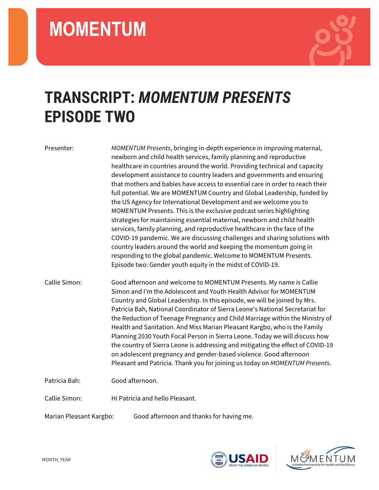

## **TRANSCRIPT:** *MOMENTUM PRESENTS* **EPISODE TWO**

Presenter: *MOMENTUM Presents*, bringing in-depth experience in improving maternal, newborn and child health services, family planning and reproductive healthcare in countries around the world. Providing technical and capacity development assistance to country leaders and governments and ensuring that mothers and babies have access to essential care in order to reach their full potential. We are MOMENTUM Country and Global Leadership, funded by the US Agency for International Development and we welcome you to MOMENTUM Presents. This is the exclusive podcast series highlighting strategies for maintaining essential maternal, newborn and child health services, family planning, and reproductive healthcare in the face of the COVID-19 pandemic. We are discussing challenges and sharing solutions with country leaders around the world and keeping the momentum going in responding to the global pandemic. Welcome to MOMENTUM Presents. Episode two: Gender youth equity in the midst of COVID-19.

Callie Simon: Good afternoon and welcome to MOMENTUM Presents. My name is Callie Simon and I'm the Adolescent and Youth Health Advisor for MOMENTUM Country and Global Leadership. In this episode, we will be joined by Mrs. Patricia Bah, National Coordinator of Sierra Leone's National Secretariat for the Reduction of Teenage Pregnancy and Child Marriage within the Ministry of Health and Sanitation. And Miss Marian Pleasant Kargbo, who is the Family Planning 2030 Youth Focal Person in Sierra Leone. Today we will discuss how the country of Sierra Leone is addressing and mitigating the effect of COVID-19 on adolescent pregnancy and gender-based violence. Good afternoon Pleasant and Patricia. Thank you for joining us today on *MOMENTUM Presents*.

Patricia Bah: Good afternoon.

Callie Simon: Hi Patricia and hello Pleasant.

Marian Pleasant Kargbo: Good afternoon and thanks for having me.



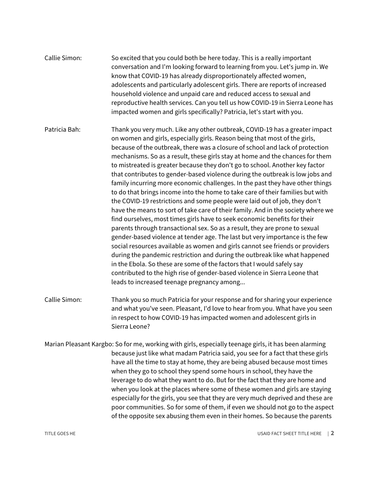| Callie Simon: | So excited that you could both be here today. This is a really important       |
|---------------|--------------------------------------------------------------------------------|
|               | conversation and I'm looking forward to learning from you. Let's jump in. We   |
|               | know that COVID-19 has already disproportionately affected women,              |
|               | adolescents and particularly adolescent girls. There are reports of increased  |
|               | household violence and unpaid care and reduced access to sexual and            |
|               | reproductive health services. Can you tell us how COVID-19 in Sierra Leone has |
|               | impacted women and girls specifically? Patricia, let's start with you.         |

- Patricia Bah: Thank you very much. Like any other outbreak, COVID-19 has a greater impact on women and girls, especially girls. Reason being that most of the girls, because of the outbreak, there was a closure of school and lack of protection mechanisms. So as a result, these girls stay at home and the chances for them to mistreated is greater because they don't go to school. Another key factor that contributes to gender-based violence during the outbreak is low jobs and family incurring more economic challenges. In the past they have other things to do that brings income into the home to take care of their families but with the COVID-19 restrictions and some people were laid out of job, they don't have the means to sort of take care of their family. And in the society where we find ourselves, most times girls have to seek economic benefits for their parents through transactional sex. So as a result, they are prone to sexual gender-based violence at tender age. The last but very importance is the few social resources available as women and girls cannot see friends or providers during the pandemic restriction and during the outbreak like what happened in the Ebola. So these are some of the factors that I would safely say contributed to the high rise of gender-based violence in Sierra Leone that leads to increased teenage pregnancy among...
- Callie Simon: Thank you so much Patricia for your response and for sharing your experience and what you've seen. Pleasant, I'd love to hear from you. What have you seen in respect to how COVID-19 has impacted women and adolescent girls in Sierra Leone?
- Marian Pleasant Kargbo: So for me, working with girls, especially teenage girls, it has been alarming because just like what madam Patricia said, you see for a fact that these girls have all the time to stay at home, they are being abused because most times when they go to school they spend some hours in school, they have the leverage to do what they want to do. But for the fact that they are home and when you look at the places where some of these women and girls are staying especially for the girls, you see that they are very much deprived and these are poor communities. So for some of them, if even we should not go to the aspect of the opposite sex abusing them even in their homes. So because the parents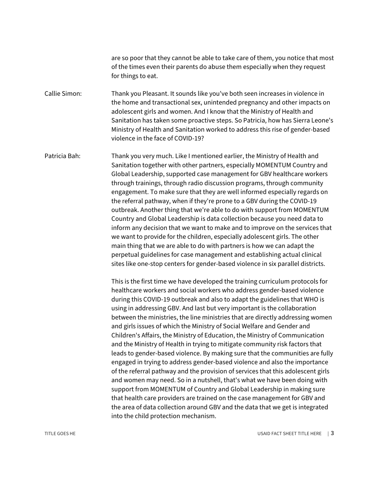are so poor that they cannot be able to take care of them, you notice that most of the times even their parents do abuse them especially when they request for things to eat.

Callie Simon: Thank you Pleasant. It sounds like you've both seen increases in violence in the home and transactional sex, unintended pregnancy and other impacts on adolescent girls and women. And I know that the Ministry of Health and Sanitation has taken some proactive steps. So Patricia, how has Sierra Leone's Ministry of Health and Sanitation worked to address this rise of gender-based violence in the face of COVID-19?

Patricia Bah: Thank you very much. Like I mentioned earlier, the Ministry of Health and Sanitation together with other partners, especially MOMENTUM Country and Global Leadership, supported case management for GBV healthcare workers through trainings, through radio discussion programs, through community engagement. To make sure that they are well informed especially regards on the referral pathway, when if they're prone to a GBV during the COVID-19 outbreak. Another thing that we're able to do with support from MOMENTUM Country and Global Leadership is data collection because you need data to inform any decision that we want to make and to improve on the services that we want to provide for the children, especially adolescent girls. The other main thing that we are able to do with partners is how we can adapt the perpetual guidelines for case management and establishing actual clinical sites like one-stop centers for gender-based violence in six parallel districts.

> This is the first time we have developed the training curriculum protocols for healthcare workers and social workers who address gender-based violence during this COVID-19 outbreak and also to adapt the guidelines that WHO is using in addressing GBV. And last but very important is the collaboration between the ministries, the line ministries that are directly addressing women and girls issues of which the Ministry of Social Welfare and Gender and Children's Affairs, the Ministry of Education, the Ministry of Communication and the Ministry of Health in trying to mitigate community risk factors that leads to gender-based violence. By making sure that the communities are fully engaged in trying to address gender-based violence and also the importance of the referral pathway and the provision of services that this adolescent girls and women may need. So in a nutshell, that's what we have been doing with support from MOMENTUM of Country and Global Leadership in making sure that health care providers are trained on the case management for GBV and the area of data collection around GBV and the data that we get is integrated into the child protection mechanism.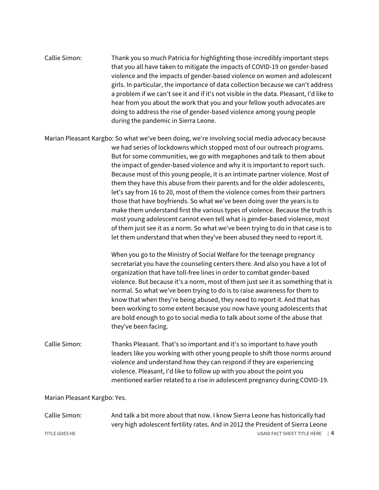| Callie Simon: | Thank you so much Patricia for highlighting those incredibly important steps            |
|---------------|-----------------------------------------------------------------------------------------|
|               | that you all have taken to mitigate the impacts of COVID-19 on gender-based             |
|               | violence and the impacts of gender-based violence on women and adolescent               |
|               | girls. In particular, the importance of data collection because we can't address        |
|               | a problem if we can't see it and if it's not visible in the data. Pleasant, I'd like to |
|               | hear from you about the work that you and your fellow youth advocates are               |
|               | doing to address the rise of gender-based violence among young people                   |
|               | during the pandemic in Sierra Leone.                                                    |

Marian Pleasant Kargbo: So what we've been doing, we're involving social media advocacy because we had series of lockdowns which stopped most of our outreach programs. But for some communities, we go with megaphones and talk to them about the impact of gender-based violence and why it is important to report such. Because most of this young people, it is an intimate partner violence. Most of them they have this abuse from their parents and for the older adolescents, let's say from 16 to 20, most of them the violence comes from their partners those that have boyfriends. So what we've been doing over the years is to make them understand first the various types of violence. Because the truth is most young adolescent cannot even tell what is gender-based violence, most of them just see it as a norm. So what we've been trying to do in that case is to let them understand that when they've been abused they need to report it.

> When you go to the Ministry of Social Welfare for the teenage pregnancy secretariat you have the counseling centers there. And also you have a lot of organization that have toll-free lines in order to combat gender-based violence. But because it's a norm, most of them just see it as something that is normal. So what we've been trying to do is to raise awareness for them to know that when they're being abused, they need to report it. And that has been working to some extent because you now have young adolescents that are bold enough to go to social media to talk about some of the abuse that they've been facing.

Callie Simon: Thanks Pleasant. That's so important and it's so important to have youth leaders like you working with other young people to shift those norms around violence and understand how they can respond if they are experiencing violence. Pleasant, I'd like to follow up with you about the point you mentioned earlier related to a rise in adolescent pregnancy during COVID-19.

## Marian Pleasant Kargbo: Yes.

| Callie Simon: | And talk a bit more about that now. I know Sierra Leone has historically had    |
|---------------|---------------------------------------------------------------------------------|
|               | very high adolescent fertility rates. And in 2012 the President of Sierra Leone |
| TITLE GOES HE | USAID FACT SHEET TITLE HERE   4                                                 |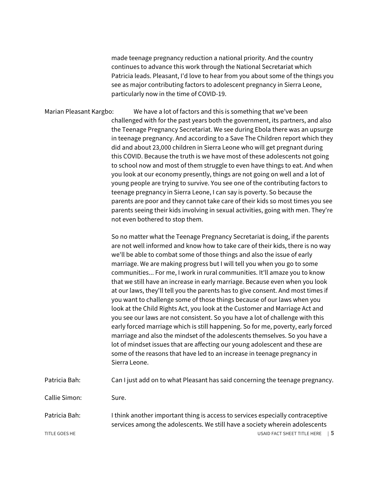made teenage pregnancy reduction a national priority. And the country continues to advance this work through the National Secretariat which Patricia leads. Pleasant, I'd love to hear from you about some of the things you see as major contributing factors to adolescent pregnancy in Sierra Leone, particularly now in the time of COVID-19.

Marian Pleasant Kargbo: We have a lot of factors and this is something that we've been challenged with for the past years both the government, its partners, and also the Teenage Pregnancy Secretariat. We see during Ebola there was an upsurge in teenage pregnancy. And according to a Save The Children report which they did and about 23,000 children in Sierra Leone who will get pregnant during this COVID. Because the truth is we have most of these adolescents not going to school now and most of them struggle to even have things to eat. And when you look at our economy presently, things are not going on well and a lot of young people are trying to survive. You see one of the contributing factors to teenage pregnancy in Sierra Leone, I can say is poverty. So because the parents are poor and they cannot take care of their kids so most times you see parents seeing their kids involving in sexual activities, going with men. They're not even bothered to stop them.

> So no matter what the Teenage Pregnancy Secretariat is doing, if the parents are not well informed and know how to take care of their kids, there is no way we'll be able to combat some of those things and also the issue of early marriage. We are making progress but I will tell you when you go to some communities... For me, I work in rural communities. It'll amaze you to know that we still have an increase in early marriage. Because even when you look at our laws, they'll tell you the parents has to give consent. And most times if you want to challenge some of those things because of our laws when you look at the Child Rights Act, you look at the Customer and Marriage Act and you see our laws are not consistent. So you have a lot of challenge with this early forced marriage which is still happening. So for me, poverty, early forced marriage and also the mindset of the adolescents themselves. So you have a lot of mindset issues that are affecting our young adolescent and these are some of the reasons that have led to an increase in teenage pregnancy in Sierra Leone.

| Patricia Bah: |  | Can I just add on to what Pleasant has said concerning the teenage pregnancy. |  |  |
|---------------|--|-------------------------------------------------------------------------------|--|--|
|---------------|--|-------------------------------------------------------------------------------|--|--|

Callie Simon: Sure.

TITLE GOES HE USAID FACT SHEET TITLE HERE | 5 Patricia Bah: I think another important thing is access to services especially contraceptive services among the adolescents. We still have a society wherein adolescents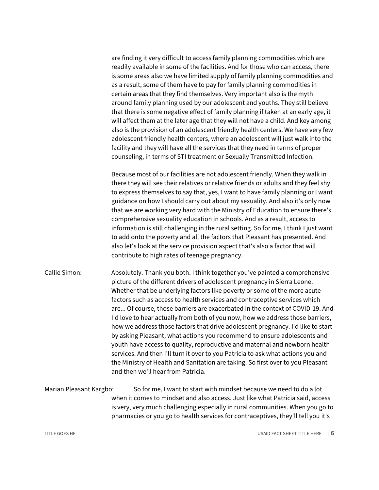are finding it very difficult to access family planning commodities which are readily available in some of the facilities. And for those who can access, there is some areas also we have limited supply of family planning commodities and as a result, some of them have to pay for family planning commodities in certain areas that they find themselves. Very important also is the myth around family planning used by our adolescent and youths. They still believe that there is some negative effect of family planning if taken at an early age, it will affect them at the later age that they will not have a child. And key among also is the provision of an adolescent friendly health centers. We have very few adolescent friendly health centers, where an adolescent will just walk into the facility and they will have all the services that they need in terms of proper counseling, in terms of STI treatment or Sexually Transmitted Infection.

Because most of our facilities are not adolescent friendly. When they walk in there they will see their relatives or relative friends or adults and they feel shy to express themselves to say that, yes, I want to have family planning or I want guidance on how I should carry out about my sexuality. And also it's only now that we are working very hard with the Ministry of Education to ensure there's comprehensive sexuality education in schools. And as a result, access to information is still challenging in the rural setting. So for me, I think I just want to add onto the poverty and all the factors that Pleasant has presented. And also let's look at the service provision aspect that's also a factor that will contribute to high rates of teenage pregnancy.

Callie Simon: Absolutely. Thank you both. I think together you've painted a comprehensive picture of the different drivers of adolescent pregnancy in Sierra Leone. Whether that be underlying factors like poverty or some of the more acute factors such as access to health services and contraceptive services which are... Of course, those barriers are exacerbated in the context of COVID-19. And I'd love to hear actually from both of you now, how we address those barriers, how we address those factors that drive adolescent pregnancy. I'd like to start by asking Pleasant, what actions you recommend to ensure adolescents and youth have access to quality, reproductive and maternal and newborn health services. And then I'll turn it over to you Patricia to ask what actions you and the Ministry of Health and Sanitation are taking. So first over to you Pleasant and then we'll hear from Patricia.

## Marian Pleasant Kargbo: So for me, I want to start with mindset because we need to do a lot when it comes to mindset and also access. Just like what Patricia said, access is very, very much challenging especially in rural communities. When you go to pharmacies or you go to health services for contraceptives, they'll tell you it's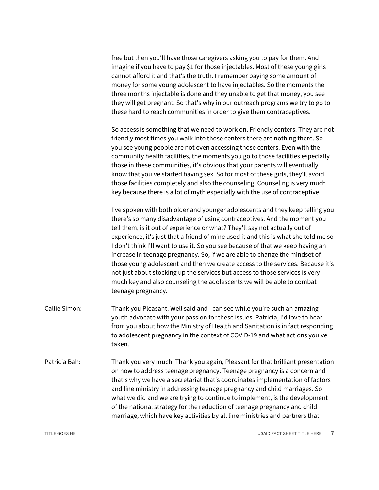free but then you'll have those caregivers asking you to pay for them. And imagine if you have to pay \$1 for those injectables. Most of these young girls cannot afford it and that's the truth. I remember paying some amount of money for some young adolescent to have injectables. So the moments the three months injectable is done and they unable to get that money, you see they will get pregnant. So that's why in our outreach programs we try to go to these hard to reach communities in order to give them contraceptives.

So access is something that we need to work on. Friendly centers. They are not friendly most times you walk into those centers there are nothing there. So you see young people are not even accessing those centers. Even with the community health facilities, the moments you go to those facilities especially those in these communities, it's obvious that your parents will eventually know that you've started having sex. So for most of these girls, they'll avoid those facilities completely and also the counseling. Counseling is very much key because there is a lot of myth especially with the use of contraceptive.

I've spoken with both older and younger adolescents and they keep telling you there's so many disadvantage of using contraceptives. And the moment you tell them, is it out of experience or what? They'll say not actually out of experience, it's just that a friend of mine used it and this is what she told me so I don't think I'll want to use it. So you see because of that we keep having an increase in teenage pregnancy. So, if we are able to change the mindset of those young adolescent and then we create access to the services. Because it's not just about stocking up the services but access to those services is very much key and also counseling the adolescents we will be able to combat teenage pregnancy.

- Callie Simon: Thank you Pleasant. Well said and I can see while you're such an amazing youth advocate with your passion for these issues. Patricia, I'd love to hear from you about how the Ministry of Health and Sanitation is in fact responding to adolescent pregnancy in the context of COVID-19 and what actions you've taken.
- Patricia Bah: Thank you very much. Thank you again, Pleasant for that brilliant presentation on how to address teenage pregnancy. Teenage pregnancy is a concern and that's why we have a secretariat that's coordinates implementation of factors and line ministry in addressing teenage pregnancy and child marriages. So what we did and we are trying to continue to implement, is the development of the national strategy for the reduction of teenage pregnancy and child marriage, which have key activities by all line ministries and partners that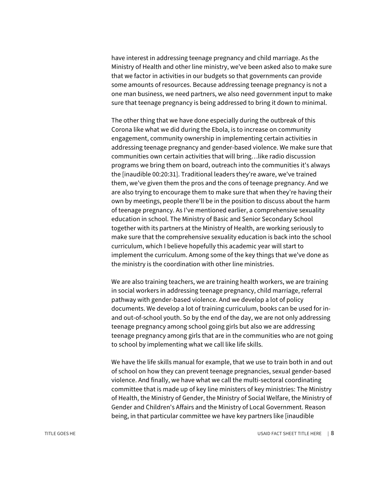have interest in addressing teenage pregnancy and child marriage. As the Ministry of Health and other line ministry, we've been asked also to make sure that we factor in activities in our budgets so that governments can provide some amounts of resources. Because addressing teenage pregnancy is not a one man business, we need partners, we also need government input to make sure that teenage pregnancy is being addressed to bring it down to minimal.

The other thing that we have done especially during the outbreak of this Corona like what we did during the Ebola, is to increase on community engagement, community ownership in implementing certain activities in addressing teenage pregnancy and gender-based violence. We make sure that communities own certain activities that will bring…like radio discussion programs we bring them on board, outreach into the communities it's always the [inaudible 00:20:31]. Traditional leaders they're aware, we've trained them, we've given them the pros and the cons of teenage pregnancy. And we are also trying to encourage them to make sure that when they're having their own by meetings, people there'll be in the position to discuss about the harm of teenage pregnancy. As I've mentioned earlier, a comprehensive sexuality education in school. The Ministry of Basic and Senior Secondary School together with its partners at the Ministry of Health, are working seriously to make sure that the comprehensive sexuality education is back into the school curriculum, which I believe hopefully this academic year will start to implement the curriculum. Among some of the key things that we've done as the ministry is the coordination with other line ministries.

We are also training teachers, we are training health workers, we are training in social workers in addressing teenage pregnancy, child marriage, referral pathway with gender-based violence. And we develop a lot of policy documents. We develop a lot of training curriculum, books can be used for inand out-of-school youth. So by the end of the day, we are not only addressing teenage pregnancy among school going girls but also we are addressing teenage pregnancy among girls that are in the communities who are not going to school by implementing what we call like life skills.

We have the life skills manual for example, that we use to train both in and out of school on how they can prevent teenage pregnancies, sexual gender-based violence. And finally, we have what we call the multi-sectoral coordinating committee that is made up of key line ministers of key ministries: The Ministry of Health, the Ministry of Gender, the Ministry of Social Welfare, the Ministry of Gender and Children's Affairs and the Ministry of Local Government. Reason being, in that particular committee we have key partners like [inaudible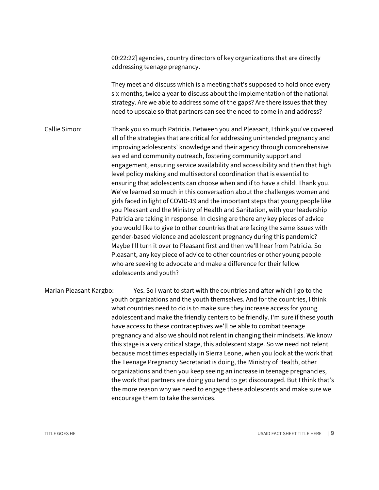00:22:22] agencies, country directors of key organizations that are directly addressing teenage pregnancy.

They meet and discuss which is a meeting that's supposed to hold once every six months, twice a year to discuss about the implementation of the national strategy. Are we able to address some of the gaps? Are there issues that they need to upscale so that partners can see the need to come in and address?

Callie Simon: Thank you so much Patricia. Between you and Pleasant, I think you've covered all of the strategies that are critical for addressing unintended pregnancy and improving adolescents' knowledge and their agency through comprehensive sex ed and community outreach, fostering community support and engagement, ensuring service availability and accessibility and then that high level policy making and multisectoral coordination that is essential to ensuring that adolescents can choose when and if to have a child. Thank you. We've learned so much in this conversation about the challenges women and girls faced in light of COVID-19 and the important steps that young people like you Pleasant and the Ministry of Health and Sanitation, with your leadership Patricia are taking in response. In closing are there any key pieces of advice you would like to give to other countries that are facing the same issues with gender-based violence and adolescent pregnancy during this pandemic? Maybe I'll turn it over to Pleasant first and then we'll hear from Patricia. So Pleasant, any key piece of advice to other countries or other young people who are seeking to advocate and make a difference for their fellow adolescents and youth?

Marian Pleasant Kargbo: Yes. So I want to start with the countries and after which I go to the youth organizations and the youth themselves. And for the countries, I think what countries need to do is to make sure they increase access for young adolescent and make the friendly centers to be friendly. I'm sure if these youth have access to these contraceptives we'll be able to combat teenage pregnancy and also we should not relent in changing their mindsets. We know this stage is a very critical stage, this adolescent stage. So we need not relent because most times especially in Sierra Leone, when you look at the work that the Teenage Pregnancy Secretariat is doing, the Ministry of Health, other organizations and then you keep seeing an increase in teenage pregnancies, the work that partners are doing you tend to get discouraged. But I think that's the more reason why we need to engage these adolescents and make sure we encourage them to take the services.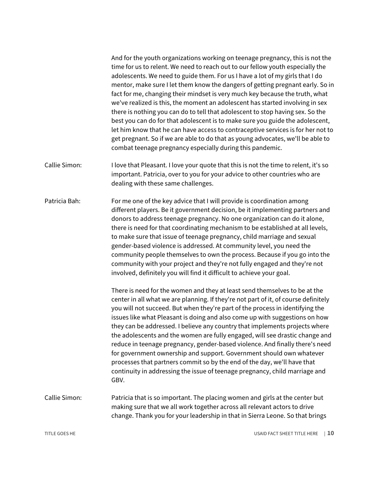And for the youth organizations working on teenage pregnancy, this is not the time for us to relent. We need to reach out to our fellow youth especially the adolescents. We need to guide them. For us I have a lot of my girls that I do mentor, make sure I let them know the dangers of getting pregnant early. So in fact for me, changing their mindset is very much key because the truth, what we've realized is this, the moment an adolescent has started involving in sex there is nothing you can do to tell that adolescent to stop having sex. So the best you can do for that adolescent is to make sure you guide the adolescent, let him know that he can have access to contraceptive services is for her not to get pregnant. So if we are able to do that as young advocates, we'll be able to combat teenage pregnancy especially during this pandemic.

- Callie Simon: I love that Pleasant. I love your quote that this is not the time to relent, it's so important. Patricia, over to you for your advice to other countries who are dealing with these same challenges.
- Patricia Bah: For me one of the key advice that I will provide is coordination among different players. Be it government decision, be it implementing partners and donors to address teenage pregnancy. No one organization can do it alone, there is need for that coordinating mechanism to be established at all levels, to make sure that issue of teenage pregnancy, child marriage and sexual gender-based violence is addressed. At community level, you need the community people themselves to own the process. Because if you go into the community with your project and they're not fully engaged and they're not involved, definitely you will find it difficult to achieve your goal.

There is need for the women and they at least send themselves to be at the center in all what we are planning. If they're not part of it, of course definitely you will not succeed. But when they're part of the process in identifying the issues like what Pleasant is doing and also come up with suggestions on how they can be addressed. I believe any country that implements projects where the adolescents and the women are fully engaged, will see drastic change and reduce in teenage pregnancy, gender-based violence. And finally there's need for government ownership and support. Government should own whatever processes that partners commit so by the end of the day, we'll have that continuity in addressing the issue of teenage pregnancy, child marriage and GBV.

Callie Simon: Patricia that is so important. The placing women and girls at the center but making sure that we all work together across all relevant actors to drive change. Thank you for your leadership in that in Sierra Leone. So that brings